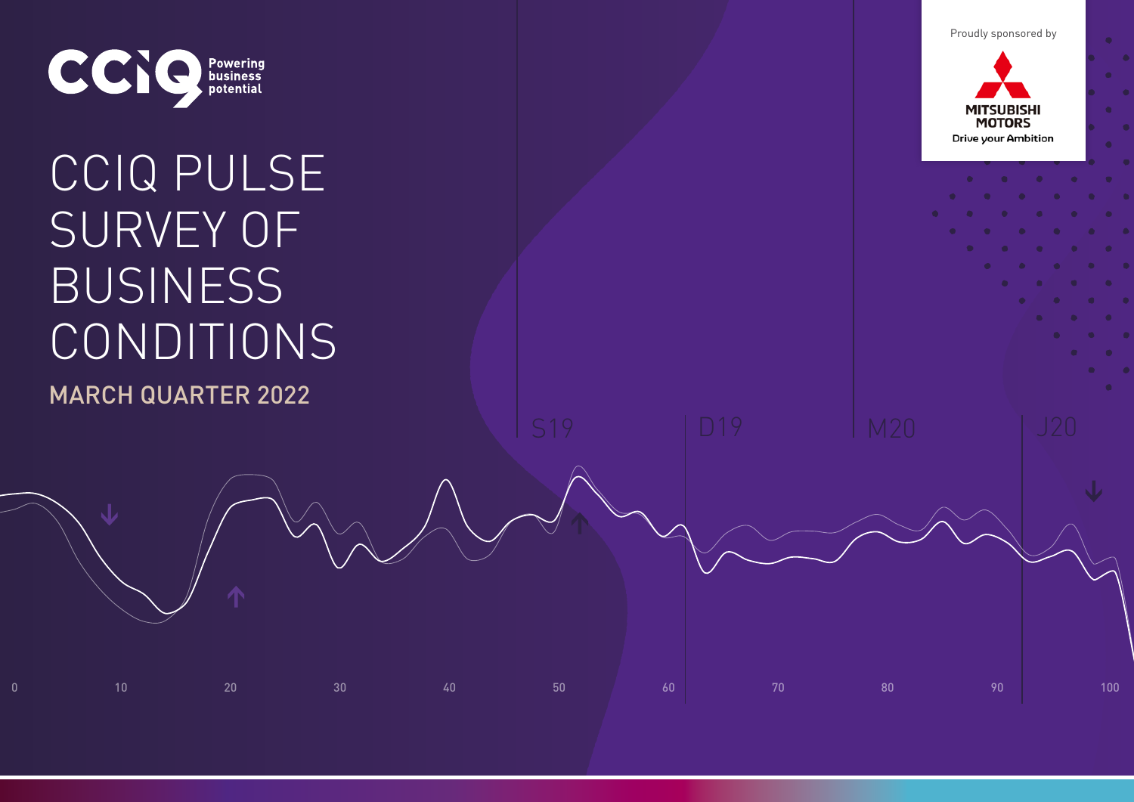Proudly sponsored by



# CCIQ PULSE SURVEY OF BUSINESS CONDITIONS MARCH QUARTER 2022

0 10 20 30 40 50 60 70 80 90 100

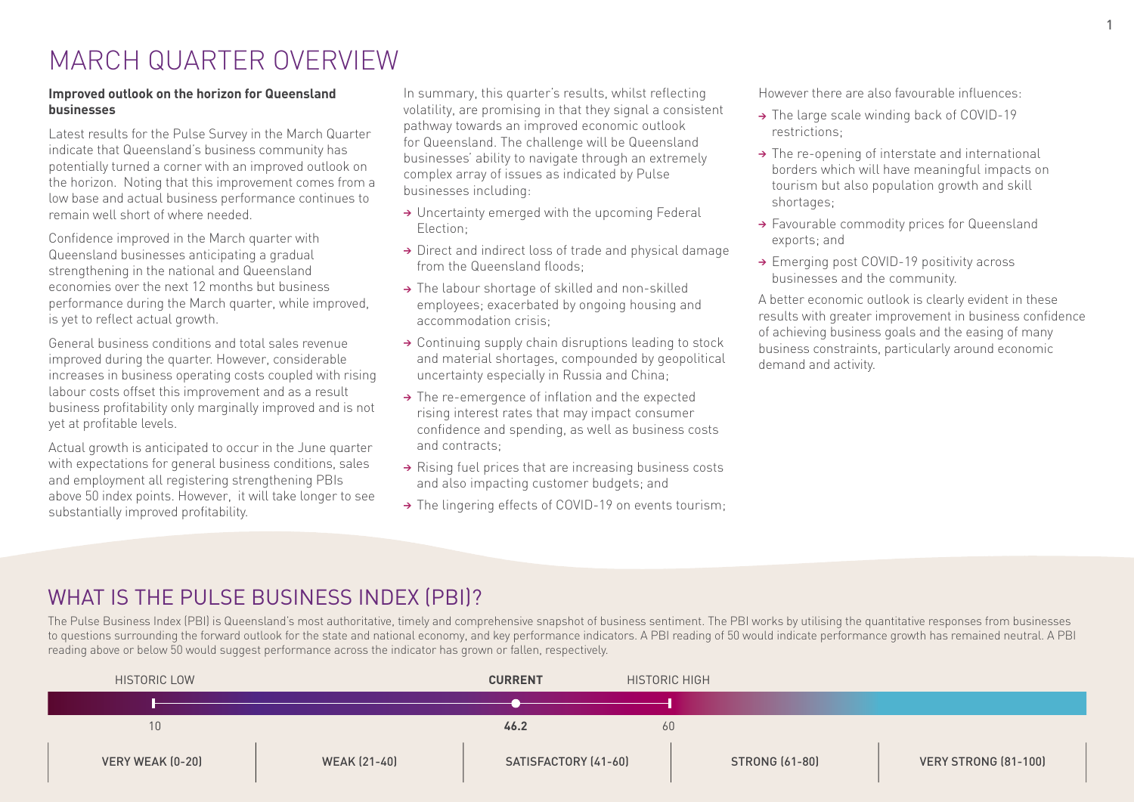# MARCH QUARTER OVERVIEW

### **Improved outlook on the horizon for Queensland businesses**

Latest results for the Pulse Survey in the March Quarter indicate that Queensland's business community has potentially turned a corner with an improved outlook on the horizon. Noting that this improvement comes from a low base and actual business performance continues to remain well short of where needed.

Confidence improved in the March quarter with Queensland businesses anticipating a gradual strengthening in the national and Queensland economies over the next 12 months but business performance during the March quarter, while improved, is yet to reflect actual growth.

General business conditions and total sales revenue improved during the quarter. However, considerable increases in business operating costs coupled with rising labour costs offset this improvement and as a result business profitability only marginally improved and is not yet at profitable levels.

Actual growth is anticipated to occur in the June quarter with expectations for general business conditions, sales and employment all registering strengthening PBIs above 50 index points. However, it will take longer to see substantially improved profitability.

In summary, this quarter's results, whilst reflecting volatility, are promising in that they signal a consistent pathway towards an improved economic outlook for Queensland. The challenge will be Queensland businesses' ability to navigate through an extremely complex array of issues as indicated by Pulse businesses including:

- → Uncertainty emerged with the upcoming Federal Election;
- → Direct and indirect loss of trade and physical damage from the Queensland floods;
- → The labour shortage of skilled and non-skilled employees; exacerbated by ongoing housing and accommodation crisis;
- → Continuing supply chain disruptions leading to stock and material shortages, compounded by geopolitical uncertainty especially in Russia and China;
- → The re-emergence of inflation and the expected rising interest rates that may impact consumer confidence and spending, as well as business costs and contracts;
- → Rising fuel prices that are increasing business costs and also impacting customer budgets; and
- → The lingering effects of COVID-19 on events tourism;

However there are also favourable influences:

- → The large scale winding back of COVID-19 restrictions;
- → The re-opening of interstate and international borders which will have meaningful impacts on tourism but also population growth and skill shortages;
- → Favourable commodity prices for Queensland exports; and
- → Emerging post COVID-19 positivity across businesses and the community.

A better economic outlook is clearly evident in these results with greater improvement in business confidence of achieving business goals and the easing of many business constraints, particularly around economic demand and activity.

# WHAT IS THE PULSE BUSINESS INDEX (PBI)?

The Pulse Business Index (PBI) is Queensland's most authoritative, timely and comprehensive snapshot of business sentiment. The PBI works by utilising the quantitative responses from businesses to questions surrounding the forward outlook for the state and national economy, and key performance indicators. A PBI reading of 50 would indicate performance growth has remained neutral. A PBI reading above or below 50 would suggest performance across the indicator has grown or fallen, respectively.

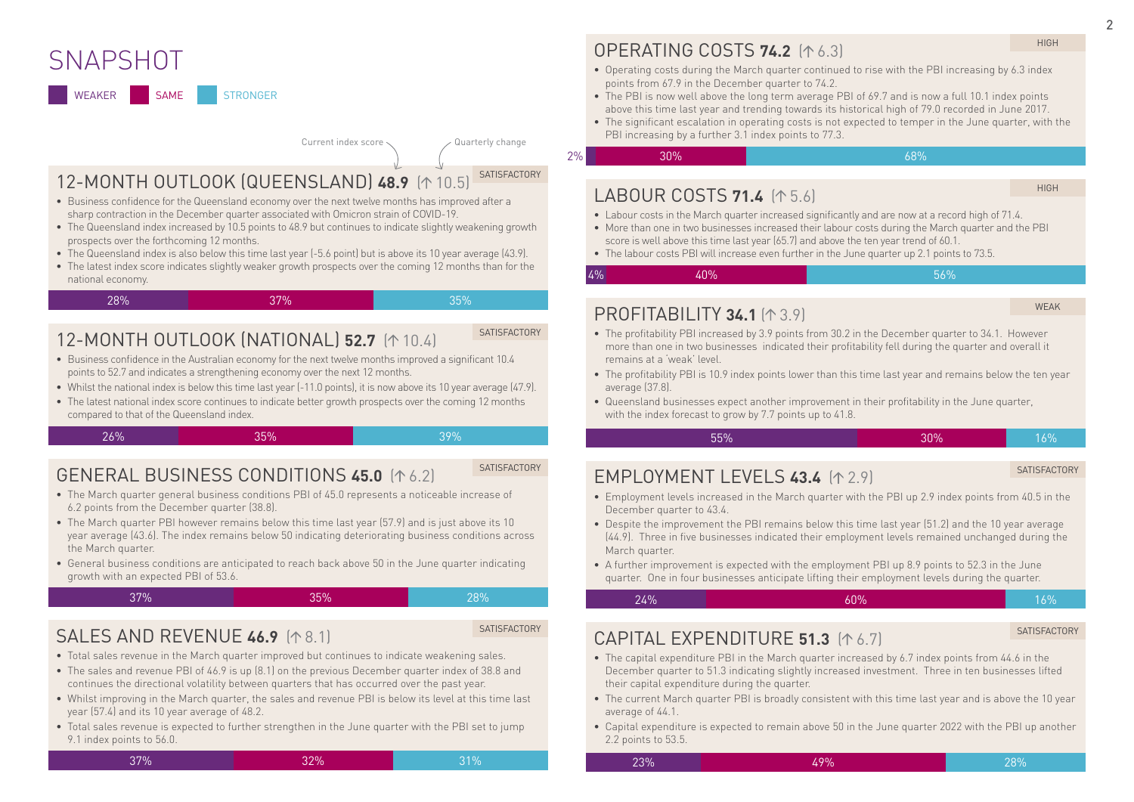# **SNAPSHOT**

WEAKER SAME STRONGER

#### Current index score  $\langle$  Quarterly change

**SATISFACTORY** 

**SATISFACTORY** 

# 12-MONTH OUTLOOK (QUEENSLAND) 48.9 ( $\uparrow$  10.5)

- Business confidence for the Queensland economy over the next twelve months has improved after a sharp contraction in the December quarter associated with Omicron strain of COVID-19.
- The Queensland index increased by 10.5 points to 48.9 but continues to indicate slightly weakening growth prospects over the forthcoming 12 months.
- The Queensland index is also below this time last year (-5.6 point) but is above its 10 year average (43.9).
- The latest index score indicates slightly weaker growth prospects over the coming 12 months than for the national economy.

| 37%<br>28% | 35% |  |  |  |  |  |  |  |  |  |
|------------|-----|--|--|--|--|--|--|--|--|--|
|------------|-----|--|--|--|--|--|--|--|--|--|

# 12-MONTH OUTLOOK (NATIONAL) **52.7** ( $\uparrow$  10.4)

- Business confidence in the Australian economy for the next twelve months improved a significant 10.4 points to 52.7 and indicates a strengthening economy over the next 12 months.
- Whilst the national index is below this time last year (-11.0 points), it is now above its 10 year average (47.9).
- The latest national index score continues to indicate better growth prospects over the coming 12 months compared to that of the Queensland index.

26% 39% 35% 35% 39% 39%

**SATISFACTORY** 

### GENERAL BUSINESS CONDITIONS **45.0** (16.2) • The March quarter general business conditions PBI of 45.0 represents a noticeable increase of

- 6.2 points from the December quarter (38.8). • The March quarter PBI however remains below this time last year (57.9) and is just above its 10 year average (43.6). The index remains below 50 indicating deteriorating business conditions across
- the March quarter.
- General business conditions are anticipated to reach back above 50 in the June quarter indicating growth with an expected PBI of 53.6.

**SALES AND REVENUE 46.9 (48.1)** 

37% 35% 28%

#### **SATISFACTORY**

- Total sales revenue in the March quarter improved but continues to indicate weakening sales. • The sales and revenue PBI of 46.9 is up (8.1) on the previous December quarter index of 38.8 and
- continues the directional volatility between quarters that has occurred over the past year.
- Whilst improving in the March quarter, the sales and revenue PBI is below its level at this time last year (57.4) and its 10 year average of 48.2.
- Total sales revenue is expected to further strengthen in the June quarter with the PBI set to jump 9.1 index points to 56.0.

$$
37\% \hspace{1.5cm} 32\% \hspace{1.5cm} 31\%
$$

# OPERATING COSTS **74.2** ( 6.3)

- Operating costs during the March quarter continued to rise with the PBI increasing by 6.3 index points from 67.9 in the December quarter to 74.2.
- The PBI is now well above the long term average PBI of 69.7 and is now a full 10.1 index points above this time last year and trending towards its historical high of 79.0 recorded in June 2017.
- The significant escalation in operating costs is not expected to temper in the June quarter, with the PBI increasing by a further 3.1 index points to 77.3.
- $2\%$  30% and  $30\%$  . The contract of the contract of the contract of the contract of the contract of the contract of the contract of the contract of the contract of the contract of the contract of the contract of the co

### **LABOUR COSTS 71.4 (15.6)**

HIGH

HIGH

- Labour costs in the March quarter increased significantly and are now at a record high of 71.4.
- More than one in two businesses increased their labour costs during the March quarter and the PBI score is well above this time last year (65.7) and above the ten year trend of 60.1.
- The labour costs PBI will increase even further in the June quarter up 2.1 points to 73.5.

 $4\%$  , and  $40\%$  , and  $40\%$  , and  $40\%$  , and  $40\%$  , and  $40\%$  , and  $40\%$  , and  $40\%$  , and  $40\%$  , and  $40\%$  , and  $40\%$  , and  $40\%$  , and  $40\%$  , and  $40\%$  , and  $40\%$  , and  $40\%$  , and  $40\%$  , and

### **PROFITABILITY 34.1** (4.3.9)

WEAK

- The profitability PBI increased by 3.9 points from 30.2 in the December quarter to 34.1. However more than one in two businesses indicated their profitability fell during the quarter and overall it remains at a 'weak' level.
- The profitability PBI is 10.9 index points lower than this time last year and remains below the ten year average [37.8]
- Queensland businesses expect another improvement in their profitability in the June quarter, with the index forecast to grow by 7.7 points up to 41.8.

$$
55\%
$$
 55%

## **EMPLOYMENT LEVELS 43.4 (12.9)**

- SATISFACTORY
- Employment levels increased in the March quarter with the PBI up 2.9 index points from 40.5 in the December quarter to 43.4
- Despite the improvement the PBI remains below this time last year (51.2) and the 10 year average (44.9). Three in five businesses indicated their employment levels remained unchanged during the March quarter.
- A further improvement is expected with the employment PBI up 8.9 points to 52.3 in the June quarter. One in four businesses anticipate lifting their employment levels during the quarter.

 $24\%$  60% and  $16\%$ 

**SATISFACTORY** 

- CAPITAL FXPFNDITURF 51.3 (16.7)
- The capital expenditure PBI in the March quarter increased by 6.7 index points from 44.6 in the December quarter to 51.3 indicating slightly increased investment. Three in ten businesses lifted their capital expenditure during the quarter.
- The current March quarter PBI is broadly consistent with this time last year and is above the 10 year average of 44.1.
- Capital expenditure is expected to remain above 50 in the June quarter 2022 with the PBI up another 2.2 points to 53.5.

23% 49% 28%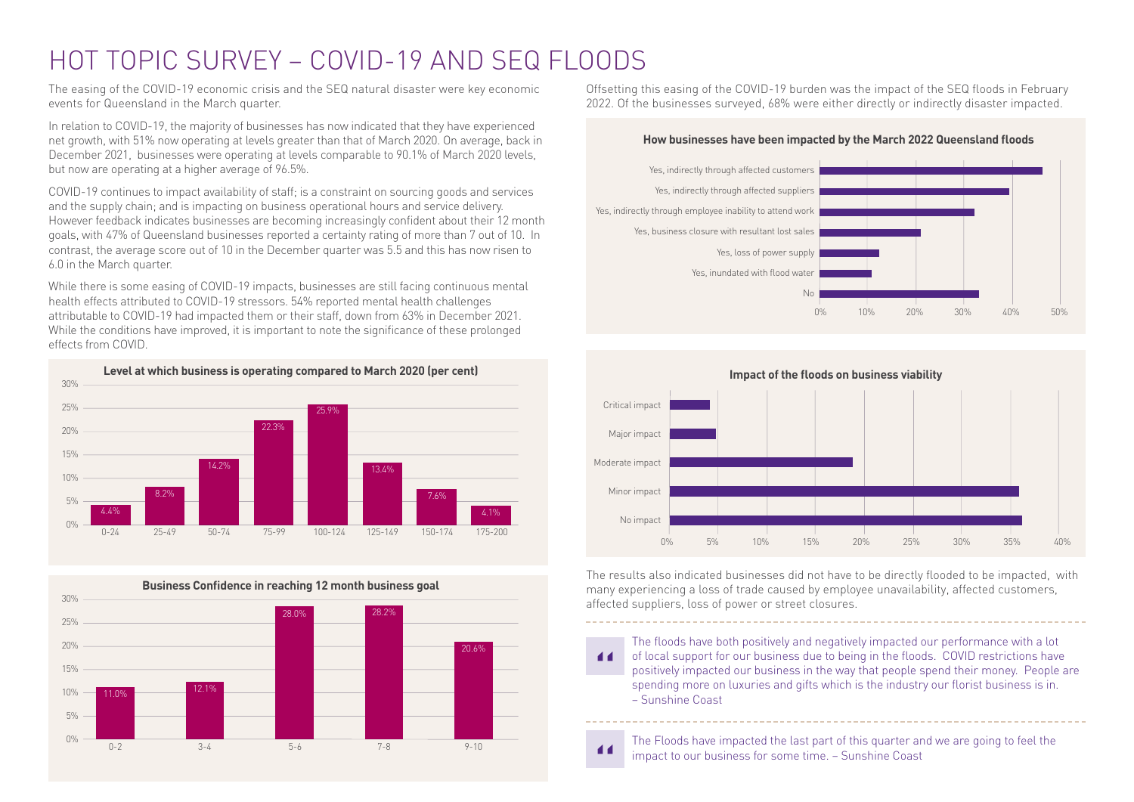# HOT TOPIC SURVEY – COVID-19 AND SEQ FLOODS

The easing of the COVID-19 economic crisis and the SEQ natural disaster were key economic events for Queensland in the March quarter.

In relation to COVID-19, the majority of businesses has now indicated that they have experienced net growth, with 51% now operating at levels greater than that of March 2020. On average, back in December 2021, businesses were operating at levels comparable to 90.1% of March 2020 levels, but now are operating at a higher average of 96.5%.

COVID-19 continues to impact availability of staff; is a constraint on sourcing goods and services and the supply chain; and is impacting on business operational hours and service delivery. However feedback indicates businesses are becoming increasingly confident about their 12 month goals, with 47% of Queensland businesses reported a certainty rating of more than 7 out of 10. In contrast, the average score out of 10 in the December quarter was 5.5 and this has now risen to 6.0 in the March quarter.

While there is some easing of COVID-19 impacts, businesses are still facing continuous mental health effects attributed to COVID-19 stressors. 54% reported mental health challenges attributable to COVID-19 had impacted them or their staff, down from 63% in December 2021. While the conditions have improved, it is important to note the significance of these prolonged effects from COVID.





Offsetting this easing of the COVID-19 burden was the impact of the SEQ floods in February 2022. Of the businesses surveyed, 68% were either directly or indirectly disaster impacted.

#### **How businesses have been impacted by the March 2022 Queensland floods**



0% 5% 10% 15% 20% 25% 30% 35% 40% **Impact of the floods on business viability** Critical impact Major impact Moderate impact Minor impact No impact

The results also indicated businesses did not have to be directly flooded to be impacted, with many experiencing a loss of trade caused by employee unavailability, affected customers, affected suppliers, loss of power or street closures.

The floods have both positively and negatively impacted our performance with a lot of local support for our business due to being in the floods. COVID restrictions have 44 positively impacted our business in the way that people spend their money. People are spending more on luxuries and gifts which is the industry our florist business is in. – Sunshine Coast

The Floods have impacted the last part of this quarter and we are going to feel the impact to our business for some time. – Sunshine Coast

 $\blacksquare$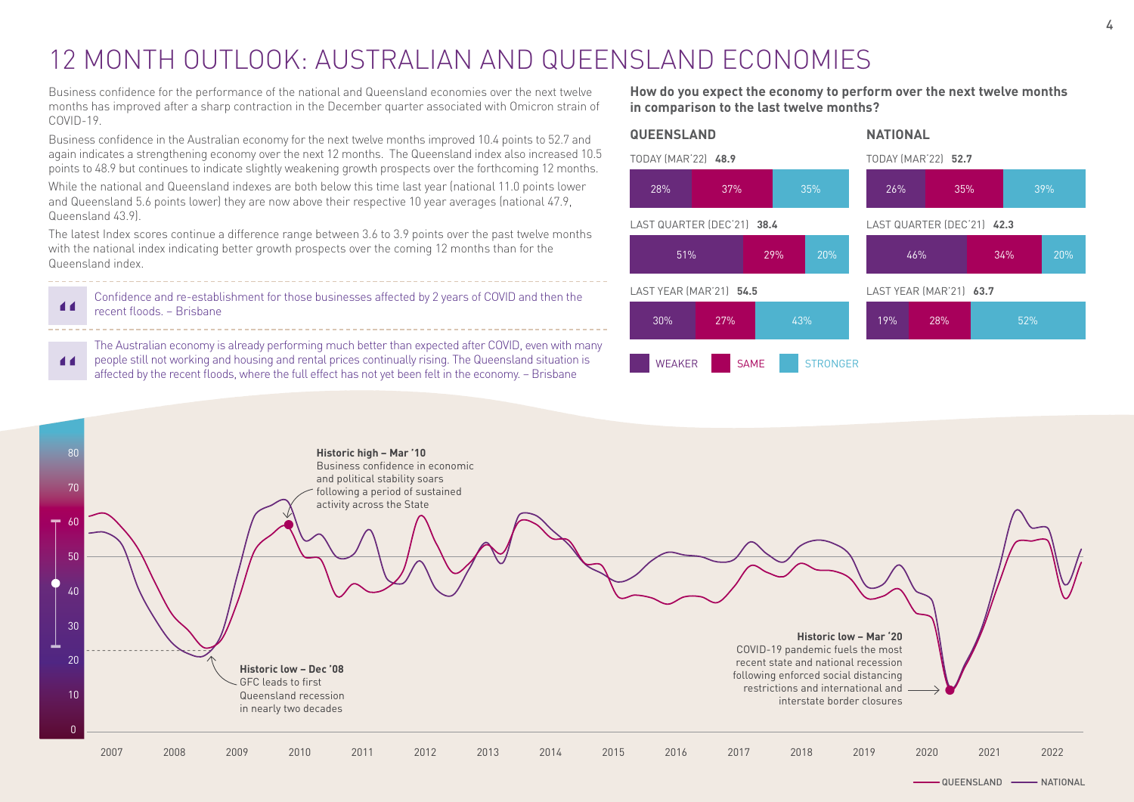# 12 MONTH OUTLOOK: AUSTRALIAN AND QUEENSLAND ECONOMIES

Business confidence for the performance of the national and Queensland economies over the next twelve months has improved after a sharp contraction in the December quarter associated with Omicron strain of COVID-19.

Business confidence in the Australian economy for the next twelve months improved 10.4 points to 52.7 and again indicates a strengthening economy over the next 12 months. The Queensland index also increased 10.5 points to 48.9 but continues to indicate slightly weakening growth prospects over the forthcoming 12 months.

While the national and Queensland indexes are both below this time last year (national 11.0 points lower and Queensland 5.6 points lower) they are now above their respective 10 year averages (national 47.9, Queensland 43.9).

The latest Index scores continue a difference range between 3.6 to 3.9 points over the past twelve months with the national index indicating better growth prospects over the coming 12 months than for the Queensland index.

 $\blacksquare$ 

Confidence and re-establishment for those businesses affected by 2 years of COVID and then the recent floods. – Brisbane

The Australian economy is already performing much better than expected after COVID, even with many people still not working and housing and rental prices continually rising. The Queensland situation is 44 affected by the recent floods, where the full effect has not yet been felt in the economy. – Brisbane

**How do you expect the economy to perform over the next twelve months in comparison to the last twelve months?**





QUEENSLAND - NATIONAL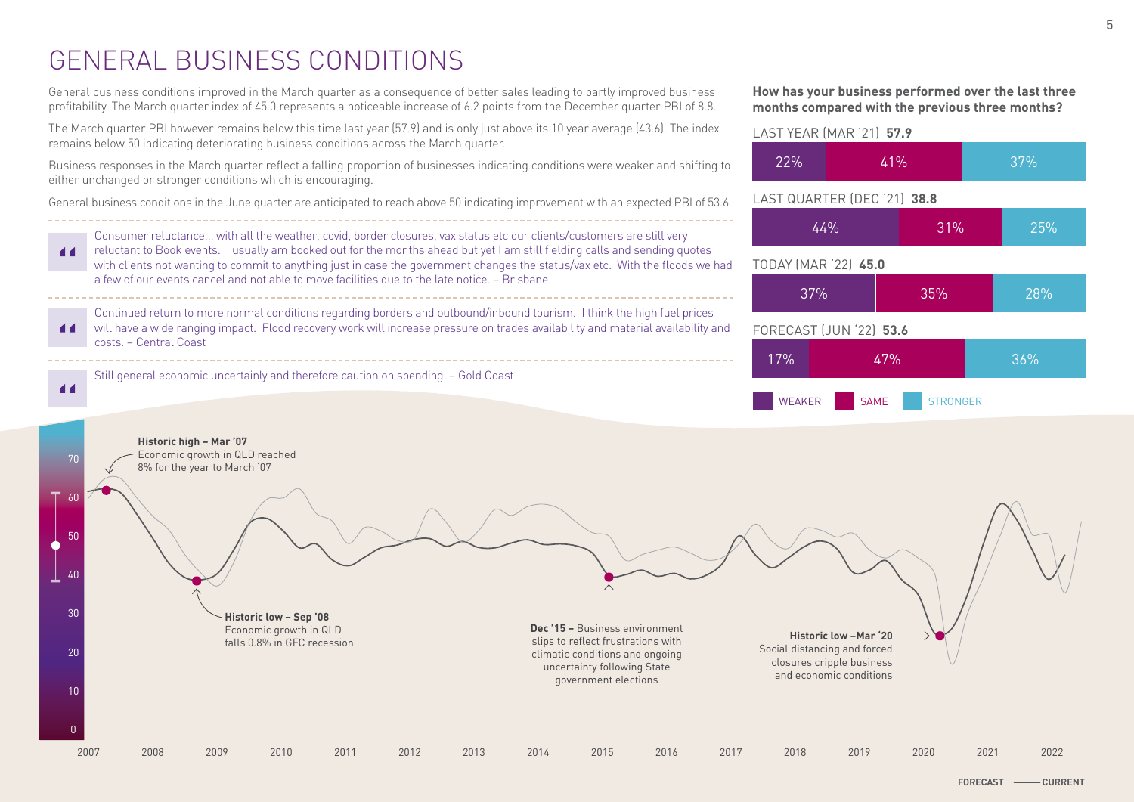# GENERAL BUSINESS CONDITIONS

General business conditions improved in the March quarter as a consequence of better sales leading to partly improved business profitability. The March quarter index of 45.0 represents a noticeable increase of 6.2 points from the December quarter PBI of 8.8.

The March quarter PBI however remains below this time last year (57.9) and is only just above its 10 year average (43.6). The index remains below 50 indicating deteriorating business conditions across the March quarter.

Business responses in the March quarter reflect a falling proportion of businesses indicating conditions were weaker and shifting to either unchanged or stronger conditions which is encouraging.

General business conditions in the June quarter are anticipated to reach above 50 indicating improvement with an expected PBI of 53.6.

Consumer reluctance... with all the weather, covid, border closures, vax status etc our clients/customers are still very reluctant to Book events. I usually am booked out for the months ahead but yet I am still fielding calls and sending quotes 44 with clients not wanting to commit to anything just in case the government changes the status/vax etc. With the floods we had a few of our events cancel and not able to move facilities due to the late notice. – Brisbane Continued return to more normal conditions regarding borders and outbound/inbound tourism. I think the high fuel prices will have a wide ranging impact. Flood recovery work will increase pressure on trades availability and material availability and  $\blacksquare$ costs. – Central Coast Still general economic uncertainly and therefore caution on spending. – Gold Coast  $\blacktriangleleft$ 

**How has your business performed over the last three months compared with the previous three months?**

### LAST YEAR (MAR '21) **57.9**



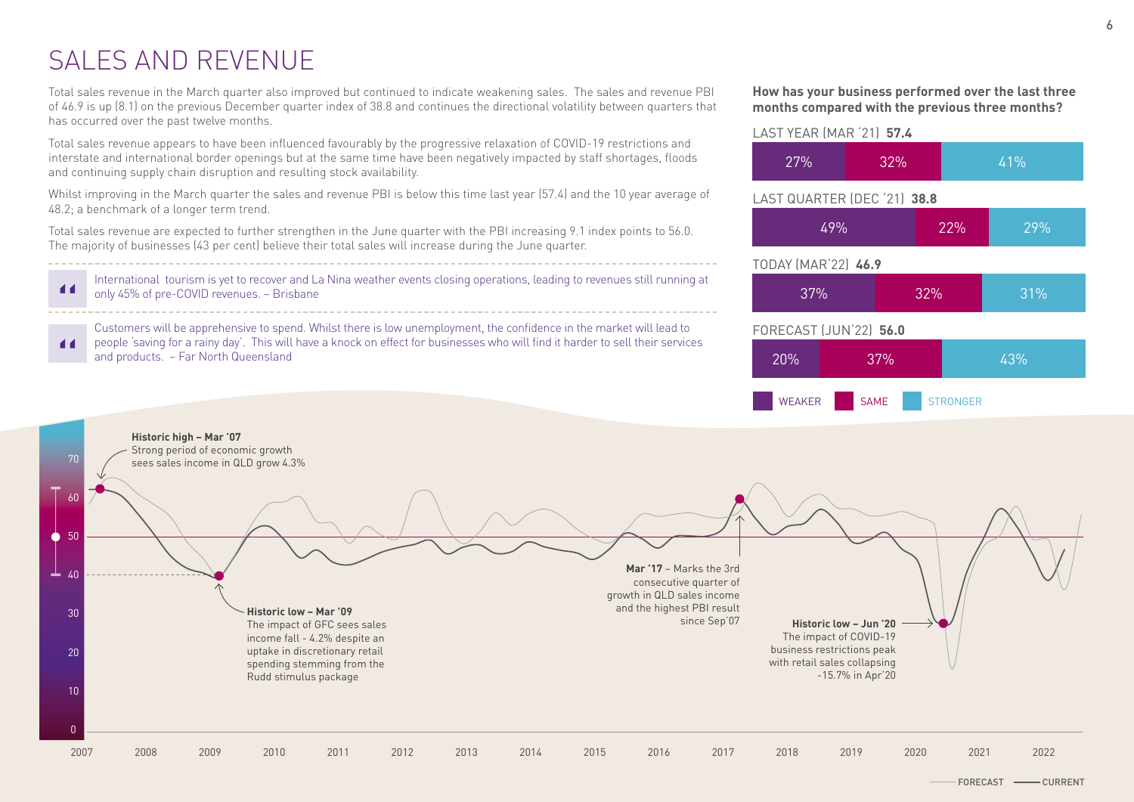# SALES AND REVENUE

Total sales revenue in the March quarter also improved but continued to indicate weakening sales. The sales and revenue PBI of 46.9 is up (8.1) on the previous December quarter index of 38.8 and continues the directional volatility between quarters that has occurred over the past twelve months.

Total sales revenue appears to have been influenced favourably by the progressive relaxation of COVID-19 restrictions and interstate and international border openings but at the same time have been negatively impacted by staff shortages, floods and continuing supply chain disruption and resulting stock availability.

Whilst improving in the March quarter the sales and revenue PBI is below this time last year (57.4) and the 10 year average of 48.2; a benchmark of a longer term trend.

Total sales revenue are expected to further strengthen in the June quarter with the PBI increasing 9.1 index points to 56.0. The majority of businesses (43 per cent) believe their total sales will increase during the June quarter.

International tourism is yet to recover and La Nina weather events closing operations, leading to revenues still running at 44 only 45% of pre-COVID revenues. – Brisbane

Customers will be apprehensive to spend. Whilst there is low unemployment, the confidence in the market will lead to people 'saving for a rainy day'. This will have a knock on effect for businesses who will find it harder to sell their services  $\blacktriangleleft$ and products. – Far North Queensland





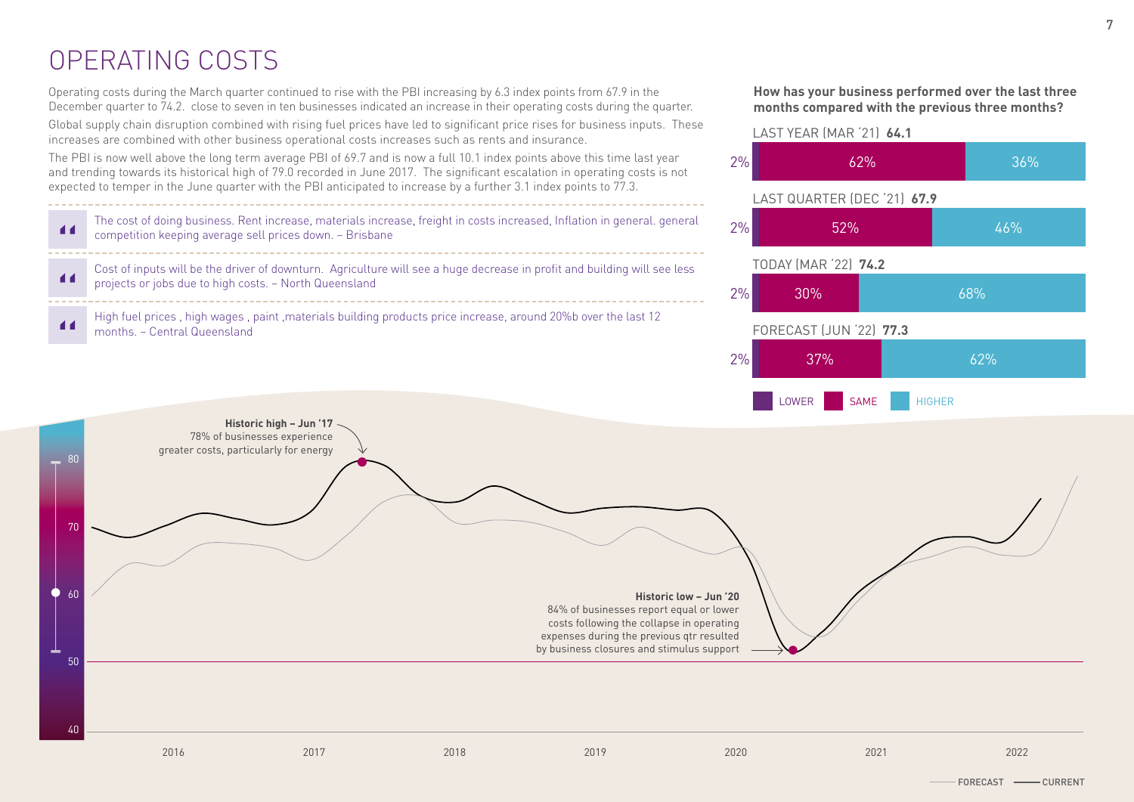# OPERATING COSTS

Operating costs during the March quarter continued to rise with the PBI increasing by 6.3 index points from 67.9 in the December quarter to 74.2. close to seven in ten businesses indicated an increase in their operating costs during the quarter.

Global supply chain disruption combined with rising fuel prices have led to significant price rises for business inputs. These increases are combined with other business operational costs increases such as rents and insurance.

The PBI is now well above the long term average PBI of 69.7 and is now a full 10.1 index points above this time last year and trending towards its historical high of 79.0 recorded in June 2017. The significant escalation in operating costs is not expected to temper in the June quarter with the PBI anticipated to increase by a further 3.1 index points to 77.3.

| The cost of doing business. Rent increase, materials increase, freight in costs increased, Inflation in general. general<br>competition keeping average sell prices down. - Brisbane |
|--------------------------------------------------------------------------------------------------------------------------------------------------------------------------------------|
| Cost of inputs will be the driver of downturn. Agriculture will see a huge decrease in profit and building will see less projects or jobs due to high costs. - North Queensland      |
| High fuel prices , high wages , paint , materials building products price increase, around 20% bover the last<br>months. – Central Queensland                                        |
|                                                                                                                                                                                      |

### **How has your business performed over the last three months compared with the previous three months?**

7





2016 2017 2018 2019 2020 2021 2022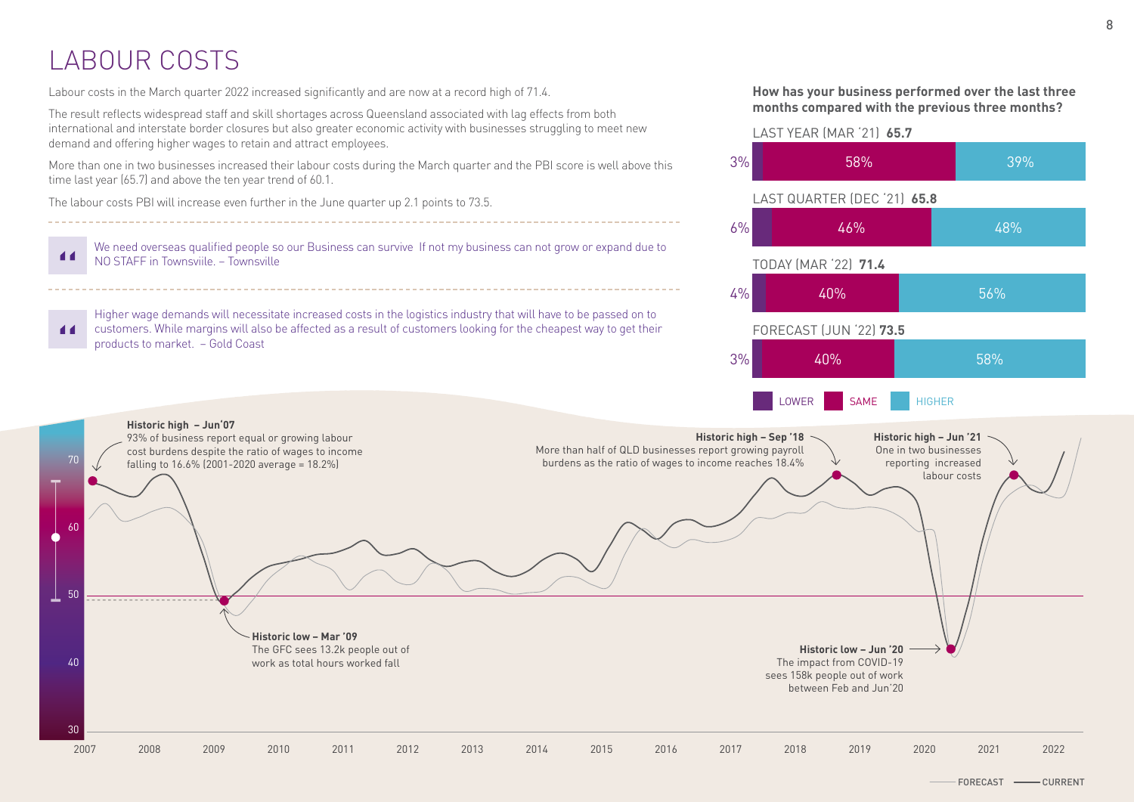# LABOUR COSTS

**Historic high – Jun'07**

93% of business report equal or growing labour cost burdens despite the ratio of wages to income falling to  $16.6\%$  (2001-2020 average = 18.2%)

70

 $60$ 

50

40

30

Labour costs in the March quarter 2022 increased significantly and are now at a record high of 71.4.

**Historic low – Mar '09**

The GFC sees 13.2k people out of work as total hours worked fall

The result reflects widespread staff and skill shortages across Queensland associated with lag effects from both international and interstate border closures but also greater economic activity with businesses struggling to meet new demand and offering higher wages to retain and attract employees.

More than one in two businesses increased their labour costs during the March quarter and the PBI score is well above this time last year (65.7) and above the ten year trend of 60.1.

The labour costs PBI will increase even further in the June quarter up 2.1 points to 73.5.

We need overseas qualified people so our Business can survive If not my business can not grow or expand due to  $\blacksquare$ NO STAFF in Townsviile. – Townsville

Higher wage demands will necessitate increased costs in the logistics industry that will have to be passed on to customers. While margins will also be affected as a result of customers looking for the cheapest way to get their  $\blacksquare$ products to market. – Gold Coast



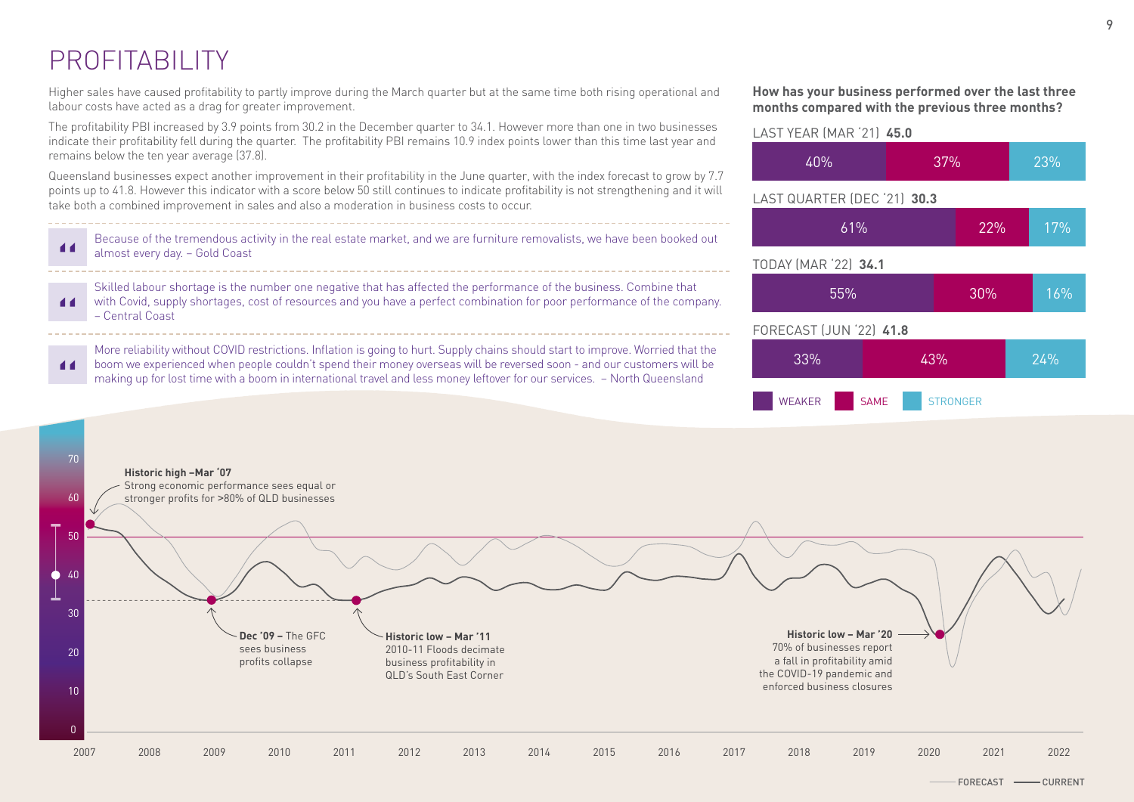# PROFITABILITY

Higher sales have caused profitability to partly improve during the March quarter but at the same time both rising operational and labour costs have acted as a drag for greater improvement.

The profitability PBI increased by 3.9 points from 30.2 in the December quarter to 34.1. However more than one in two businesses indicate their profitability fell during the quarter. The profitability PBI remains 10.9 index points lower than this time last year and remains below the ten year average (37.8).

Queensland businesses expect another improvement in their profitability in the June quarter, with the index forecast to grow by 7.7 points up to 41.8. However this indicator with a score below 50 still continues to indicate profitability is not strengthening and it will take both a combined improvement in sales and also a moderation in business costs to occur.

Because of the tremendous activity in the real estate market, and we are furniture removalists, we have been booked out  $\blacksquare$ almost every day. – Gold Coast

Skilled labour shortage is the number one negative that has affected the performance of the business. Combine that with Covid, supply shortages, cost of resources and you have a perfect combination for poor performance of the company.  $\blacksquare$ – Central Coast

More reliability without COVID restrictions. Inflation is going to hurt. Supply chains should start to improve. Worried that the boom we experienced when people couldn't spend their money overseas will be reversed soon - and our customers will be  $\blacksquare$ making up for lost time with a boom in international travel and less money leftover for our services. – North Queensland

### **How has your business performed over the last three months compared with the previous three months?**

# TODAY (MAR '22) **34.1** 55% 30% 16% FORECAST (JUN '22) **41.8** 33% 43% 24% LAST YEAR (MAR '21) **45.0** 40% 37% 23% LAST QUARTER (DEC '21) **30.3** 61% 22% 17%

WEAKER SAME STRONGER



9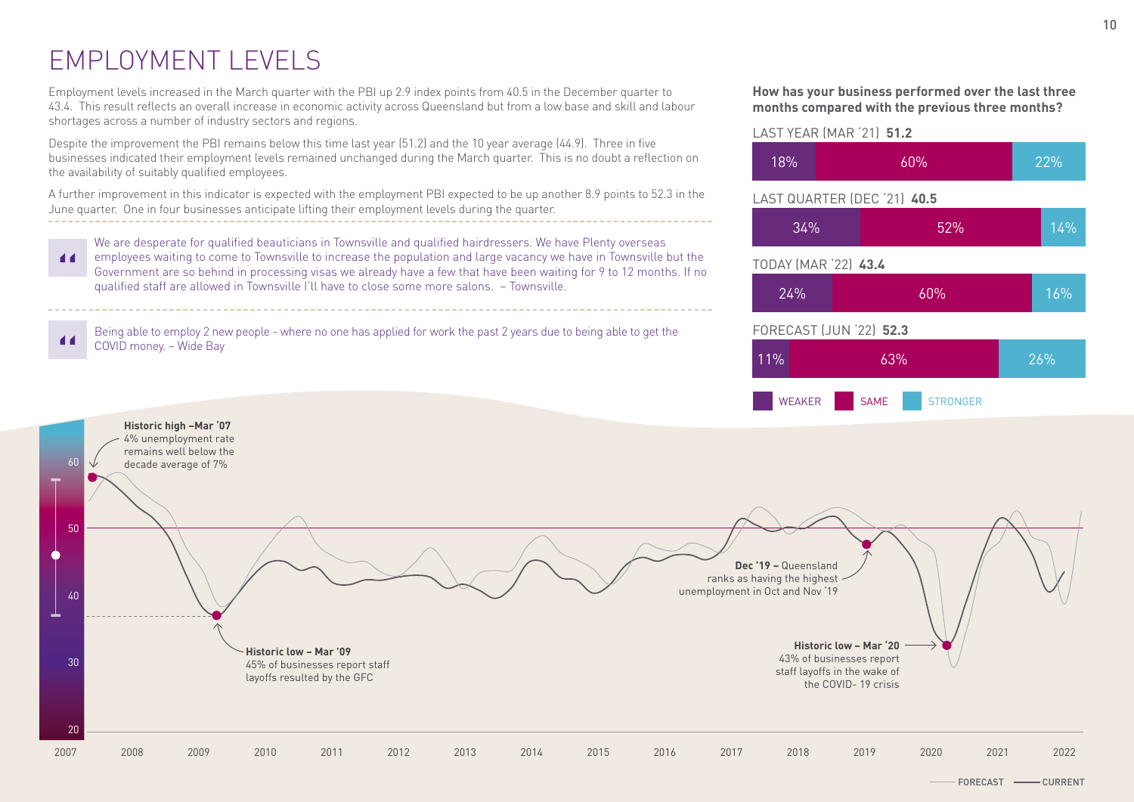# EMPLOYMENT LEVELS

Employment levels increased in the March quarter with the PBI up 2.9 index points from 40.5 in the December quarter to 43.4. This result reflects an overall increase in economic activity across Queensland but from a low base and skill and labour shortages across a number of industry sectors and regions.

Despite the improvement the PBI remains below this time last year (51.2) and the 10 year average (44.9). Three in five businesses indicated their employment levels remained unchanged during the March quarter. This is no doubt a reflection on the availability of suitably qualified employees.

A further improvement in this indicator is expected with the employment PBI expected to be up another 8.9 points to 52.3 in the June quarter. One in four businesses anticipate lifting their employment levels during the quarter.

We are desperate for qualified beauticians in Townsville and qualified hairdressers. We have Plenty overseas employees waiting to come to Townsville to increase the population and large vacancy we have in Townsville but the 44 Government are so behind in processing visas we already have a few that have been waiting for 9 to 12 months. If no qualified staff are allowed in Townsville I'll have to close some more salons. – Townsville.

Being able to employ 2 new people - where no one has applied for work the past 2 years due to being able to get the COVID money. – Wide Bay





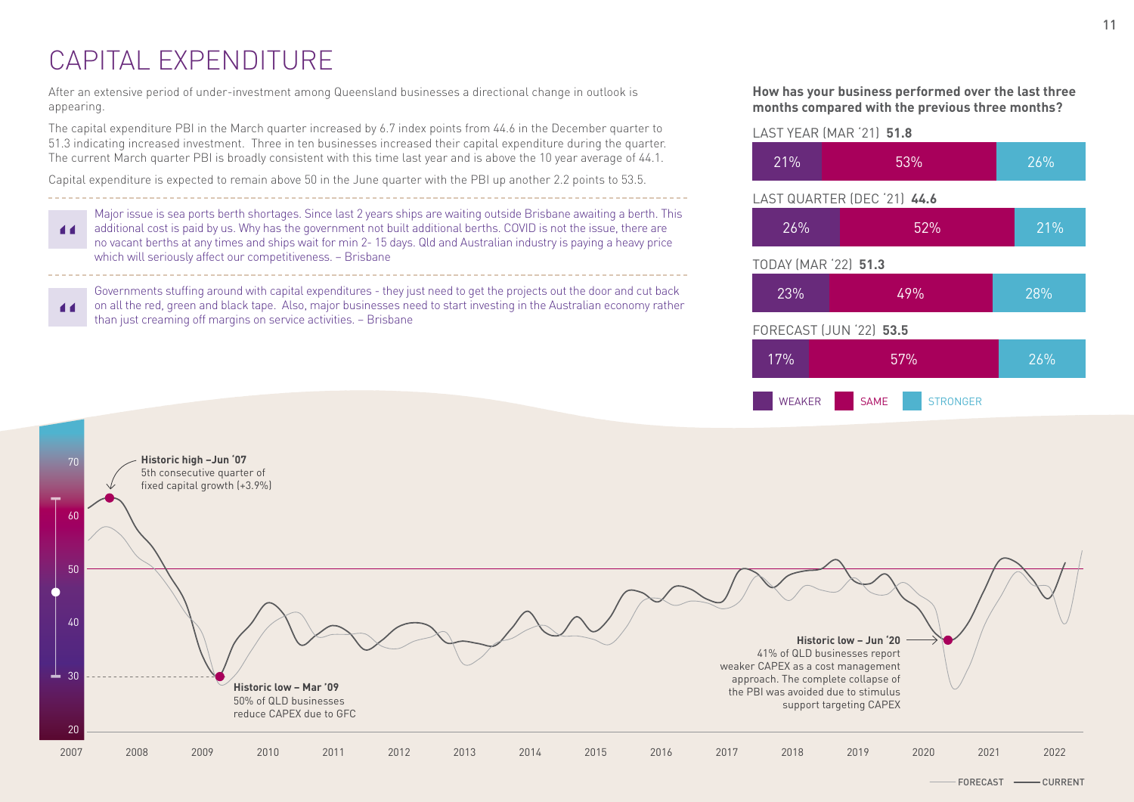# CAPITAL EXPENDITURE

After an extensive period of under-investment among Queensland businesses a directional change in outlook is appearing.

The capital expenditure PBI in the March quarter increased by 6.7 index points from 44.6 in the December quarter to 51.3 indicating increased investment. Three in ten businesses increased their capital expenditure during the quarter. The current March quarter PBI is broadly consistent with this time last year and is above the 10 year average of 44.1.

Capital expenditure is expected to remain above 50 in the June quarter with the PBI up another 2.2 points to 53.5.

Major issue is sea ports berth shortages. Since last 2 years ships are waiting outside Brisbane awaiting a berth. This additional cost is paid by us. Why has the government not built additional berths. COVID is not the issue, there are 44 no vacant berths at any times and ships wait for min 2- 15 days. Qld and Australian industry is paying a heavy price which will seriously affect our competitiveness. – Brisbane

Governments stuffing around with capital expenditures - they just need to get the projects out the door and cut back on all the red, green and black tape. Also, major businesses need to start investing in the Australian economy rather  $\blacksquare$ than just creaming off margins on service activities. – Brisbane

**How has your business performed over the last three months compared with the previous three months?**



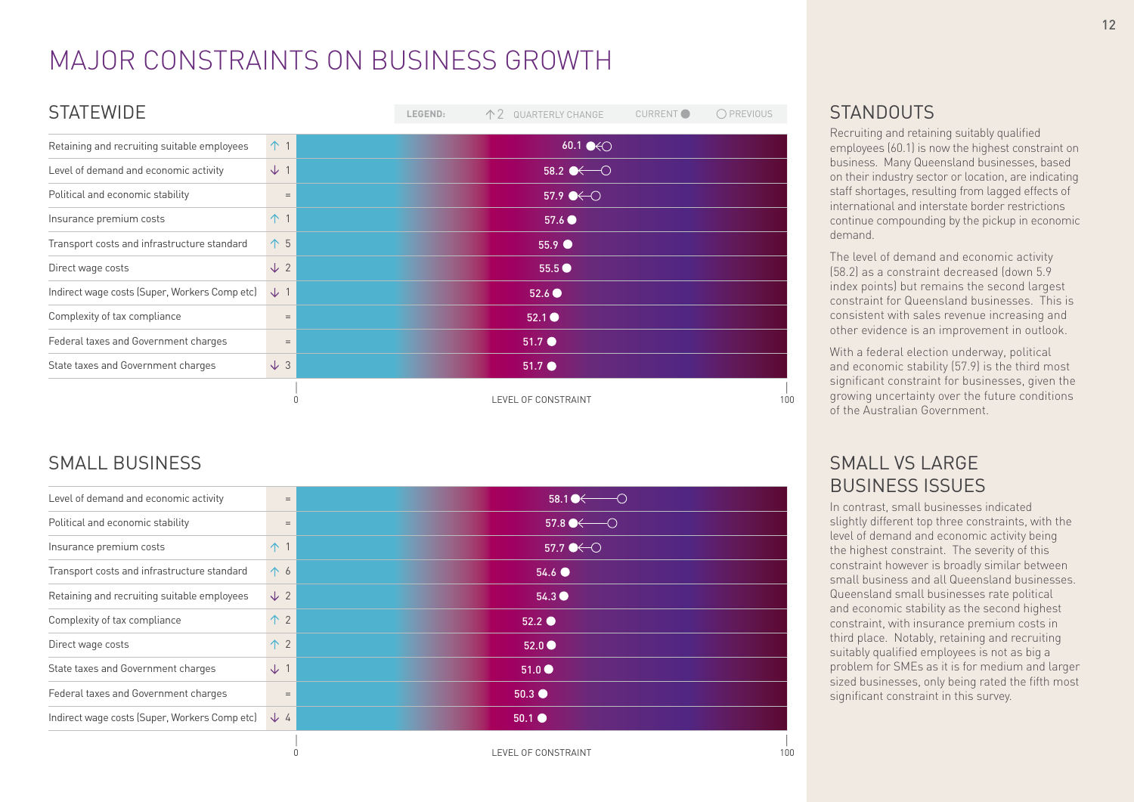# MAJOR CONSTRAINTS ON BUSINESS GROWTH

| <b>STATEWIDE</b>                              |                | LEGEND: | 个 2 QUARTERLY CHANGE             | CURRENT <sup>O</sup> | O PREVIOUS |
|-----------------------------------------------|----------------|---------|----------------------------------|----------------------|------------|
| Retaining and recruiting suitable employees   | $\uparrow$ 1   |         | 60.1 $\bullet$                   |                      |            |
| Level of demand and economic activity         | $\downarrow$ 1 |         | 58.2 $\leftarrow$ $\circ$        |                      |            |
| Political and economic stability              | $=$            |         | $57.9$ $\leftrightarrow$ $\circ$ |                      |            |
| Insurance premium costs                       | 个 1            |         | 57.6                             |                      |            |
| Transport costs and infrastructure standard   | 个 5            |         | $55.9$ $\bullet$                 |                      |            |
| Direct wage costs                             | $\sqrt{2}$     |         | $55.5$ $\bullet$                 |                      |            |
| Indirect wage costs (Super, Workers Comp etc) | $\downarrow$ 1 |         | 52.6 <sup>o</sup>                |                      |            |
| Complexity of tax compliance                  | $=$            |         | 52.1                             |                      |            |
| Federal taxes and Government charges          | $=$            |         | $51.7$ $\bullet$                 |                      |            |
| State taxes and Government charges            | $\downarrow$ 3 |         | 51.7                             |                      |            |
|                                               |                |         | LEVEL OF CONSTRAINT              |                      | 100        |

# SMALL BUSINESS

| Level of demand and economic activity         | $=$            | $58.1 \rightarrow \rightarrow$ |
|-----------------------------------------------|----------------|--------------------------------|
| Political and economic stability              | $\quad =$      | $57.8 \rightarrow \rightarrow$ |
| Insurance premium costs                       | $\uparrow$ 1   | 57.7 $\bullet$                 |
| Transport costs and infrastructure standard   | 个 6            | $54.6$ $\bullet$               |
| Retaining and recruiting suitable employees   | $\sqrt{2}$     | $54.3 \bullet$                 |
| Complexity of tax compliance                  | 个 2            | $52.2$ $\bullet$               |
| Direct wage costs                             | 个 2            | 52.0                           |
| State taxes and Government charges            | $\downarrow$ 1 | $51.0 \bullet$                 |
| Federal taxes and Government charges          | $\quad =$      | $50.3$ $\bullet$               |
| Indirect wage costs (Super, Workers Comp etc) | $\sqrt{4}$     | $50.1$ $\bullet$               |
|                                               |                | EVEL OF CONSTRAINT             |

# **STANDOUTS**

Recruiting and retaining suitably qualified employees (60.1) is now the highest constraint on business. Many Queensland businesses, based on their industry sector or location, are indicating staff shortages, resulting from lagged effects of international and interstate border restrictions continue compounding by the pickup in economic demand.

The level of demand and economic activity (58.2) as a constraint decreased (down 5.9 index points) but remains the second largest constraint for Queensland businesses. This is consistent with sales revenue increasing and other evidence is an improvement in outlook.

With a federal election underway, political and economic stability (57.9) is the third most significant constraint for businesses, given the growing uncertainty over the future conditions of the Australian Government.

### SMALL VS LARGE BUSINESS ISSUES

In contrast, small businesses indicated slightly different top three constraints, with the level of demand and economic activity being the highest constraint. The severity of this constraint however is broadly similar between small business and all Queensland businesses. Queensland small businesses rate political and economic stability as the second highest constraint, with insurance premium costs in third place. Notably, retaining and recruiting suitably qualified employees is not as big a problem for SMEs as it is for medium and larger sized businesses, only being rated the fifth most significant constraint in this survey.

LEVEL OF CONSTRAINT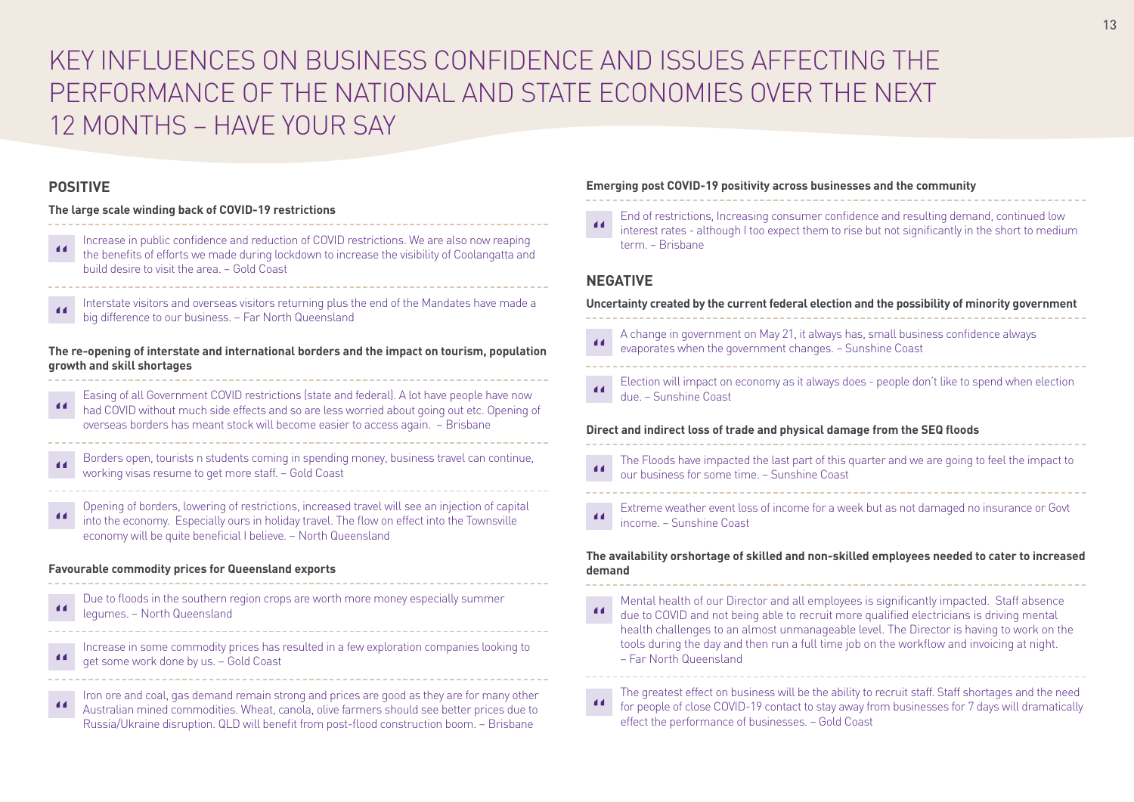# KEY INFLUENCES ON BUSINESS CONFIDENCE AND ISSUES AFFECTING THE PERFORMANCE OF THE NATIONAL AND STATE ECONOMIES OVER THE NEXT 12 MONTHS – HAVE YOUR SAY

### **POSITIVE**

### **The large scale winding back of COVID-19 restrictions**

- Increase in public confidence and reduction of COVID restrictions. We are also now reaping the benefits of efforts we made during lockdown to increase the visibility of Coolangatta and build desire to visit the area. – Gold Coast
- Interstate visitors and overseas visitors returning plus the end of the Mandates have made a big difference to our business. – Far North Queensland

**The re-opening of interstate and international borders and the impact on tourism, population growth and skill shortages**

Easing of all Government COVID restrictions (state and federal). A lot have people have now had COVID without much side effects and so are less worried about going out etc. Opening of overseas borders has meant stock will become easier to access again. – Brisbane

- Borders open, tourists n students coming in spending money, business travel can continue, working visas resume to get more staff. – Gold Coast
- Opening of borders, lowering of restrictions, increased travel will see an injection of capital into the economy. Especially ours in holiday travel. The flow on effect into the Townsville economy will be quite beneficial I believe. – North Queensland

### **Favourable commodity prices for Queensland exports**

| -44 | Due to floods in the southern region crops are worth more money especially summer<br>legumes. - North Queensland |
|-----|------------------------------------------------------------------------------------------------------------------|
|     |                                                                                                                  |

Increase in some commodity prices has resulted in a few exploration companies looking to get some work done by us. – Gold Coast

Iron ore and coal, gas demand remain strong and prices are good as they are for many other Australian mined commodities. Wheat, canola, olive farmers should see better prices due to Russia/Ukraine disruption. QLD will benefit from post-flood construction boom. – Brisbane

#### **Emerging post COVID-19 positivity across businesses and the community**

End of restrictions, Increasing consumer confidence and resulting demand, continued low interest rates - although I too expect them to rise but not significantly in the short to medium term. – Brisbane

### **NEGATIVE**

#### **Uncertainty created by the current federal election and the possibility of minority government**

- A change in government on May 21, it always has, small business confidence always evaporates when the government changes. – Sunshine Coast
- Election will impact on economy as it always does people don't like to spend when election  $\overline{11}$ due. – Sunshine Coast

#### **Direct and indirect loss of trade and physical damage from the SEQ floods**

- The Floods have impacted the last part of this quarter and we are going to feel the impact to our business for some time. – Sunshine Coast
- Extreme weather event loss of income for a week but as not damaged no insurance or Govt income. – Sunshine Coast

### **The availability orshortage of skilled and non-skilled employees needed to cater to increased demand**

- Mental health of our Director and all employees is significantly impacted. Staff absence  $\overline{11}$ due to COVID and not being able to recruit more qualified electricians is driving mental health challenges to an almost unmanageable level. The Director is having to work on the tools during the day and then run a full time job on the workflow and invoicing at night. – Far North Queensland
- The greatest effect on business will be the ability to recruit staff. Staff shortages and the need for people of close COVID-19 contact to stay away from businesses for 7 days will dramatically effect the performance of businesses. – Gold Coast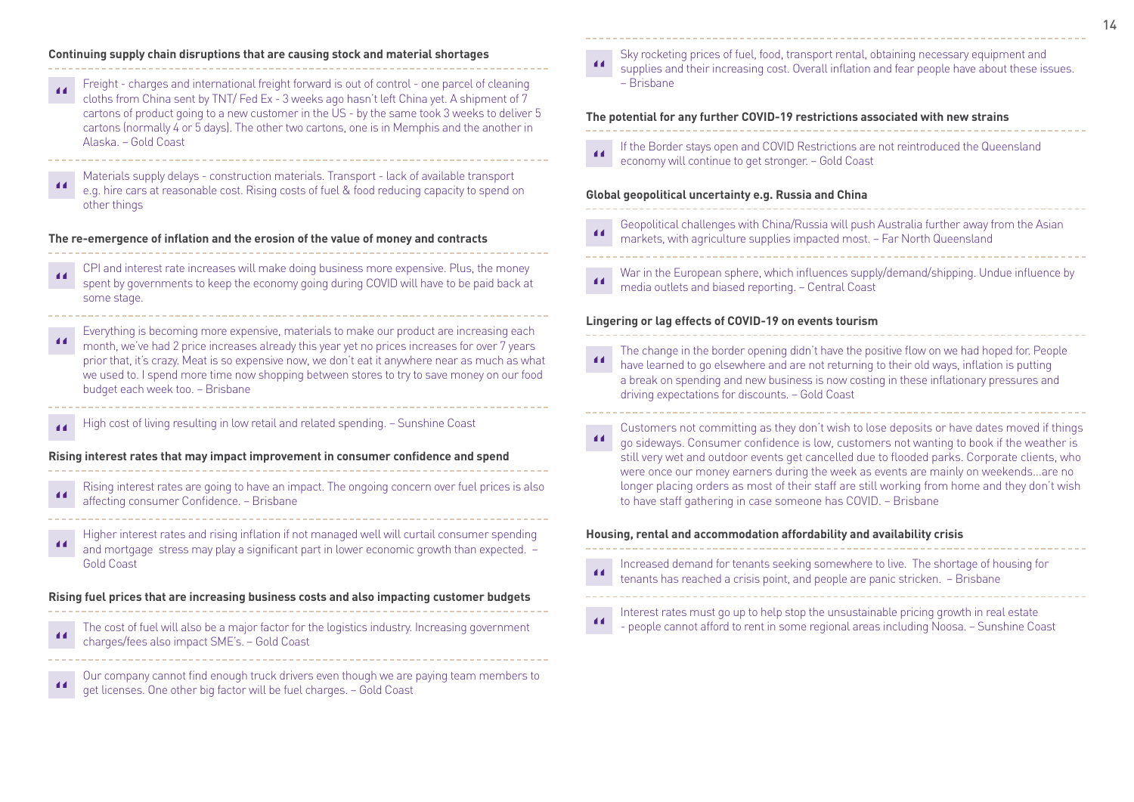#### **Continuing supply chain disruptions that are causing stock and material shortages**

Freight - charges and international freight forward is out of control - one parcel of cleaning cloths from China sent by TNT/ Fed Ex - 3 weeks ago hasn't left China yet. A shipment of 7 cartons of product going to a new customer in the US - by the same took 3 weeks to deliver 5 cartons (normally 4 or 5 days). The other two cartons, one is in Memphis and the another in Alaska. – Gold Coast

Materials supply delays - construction materials. Transport - lack of available transport e.g. hire cars at reasonable cost. Rising costs of fuel & food reducing capacity to spend on other things

#### **The re-emergence of inflation and the erosion of the value of money and contracts**

- CPI and interest rate increases will make doing business more expensive. Plus, the money spent by governments to keep the economy going during COVID will have to be paid back at some stage.
- Everything is becoming more expensive, materials to make our product are increasing each month, we've had 2 price increases already this year yet no prices increases for over 7 years prior that, it's crazy. Meat is so expensive now, we don't eat it anywhere near as much as what we used to. I spend more time now shopping between stores to try to save money on our food budget each week too. – Brisbane
- High cost of living resulting in low retail and related spending. Sunshine Coast

#### **Rising interest rates that may impact improvement in consumer confidence and spend**

- Rising interest rates are going to have an impact. The ongoing concern over fuel prices is also  $\overline{11}$ affecting consumer Confidence. – Brisbane
- Higher interest rates and rising inflation if not managed well will curtail consumer spending  $\blacksquare$ and mortgage stress may play a significant part in lower economic growth than expected. – Gold Coast

#### **Rising fuel prices that are increasing business costs and also impacting customer budgets**

The cost of fuel will also be a major factor for the logistics industry. Increasing government charges/fees also impact SME's. – Gold Coast

Our company cannot find enough truck drivers even though we are paying team members to get licenses. One other big factor will be fuel charges. – Gold Coast

 $\overline{11}$ 

#### Sky rocketing prices of fuel, food, transport rental, obtaining necessary equipment and supplies and their increasing cost. Overall inflation and fear people have about these issues.

– Brisbane

#### **The potential for any further COVID-19 restrictions associated with new strains**

If the Border stays open and COVID Restrictions are not reintroduced the Queensland  $\overline{11}$ economy will continue to get stronger. – Gold Coast

#### **Global geopolitical uncertainty e.g. Russia and China**

- Geopolitical challenges with China/Russia will push Australia further away from the Asian markets, with agriculture supplies impacted most. – Far North Queensland
- War in the European sphere, which influences supply/demand/shipping. Undue influence by  $\blacksquare$ media outlets and biased reporting. – Central Coast

#### **Lingering or lag effects of COVID-19 on events tourism**

- The change in the border opening didn't have the positive flow on we had hoped for. People have learned to go elsewhere and are not returning to their old ways, inflation is putting a break on spending and new business is now costing in these inflationary pressures and driving expectations for discounts. – Gold Coast
- Customers not committing as they don't wish to lose deposits or have dates moved if things go sideways. Consumer confidence is low, customers not wanting to book if the weather is still very wet and outdoor events get cancelled due to flooded parks. Corporate clients, who were once our money earners during the week as events are mainly on weekends...are no longer placing orders as most of their staff are still working from home and they don't wish to have staff gathering in case someone has COVID. – Brisbane

#### **Housing, rental and accommodation affordability and availability crisis**

Increased demand for tenants seeking somewhere to live. The shortage of housing for  $\overline{11}$ tenants has reached a crisis point, and people are panic stricken. – Brisbane



Interest rates must go up to help stop the unsustainable pricing growth in real estate - people cannot afford to rent in some regional areas including Noosa. – Sunshine Coast